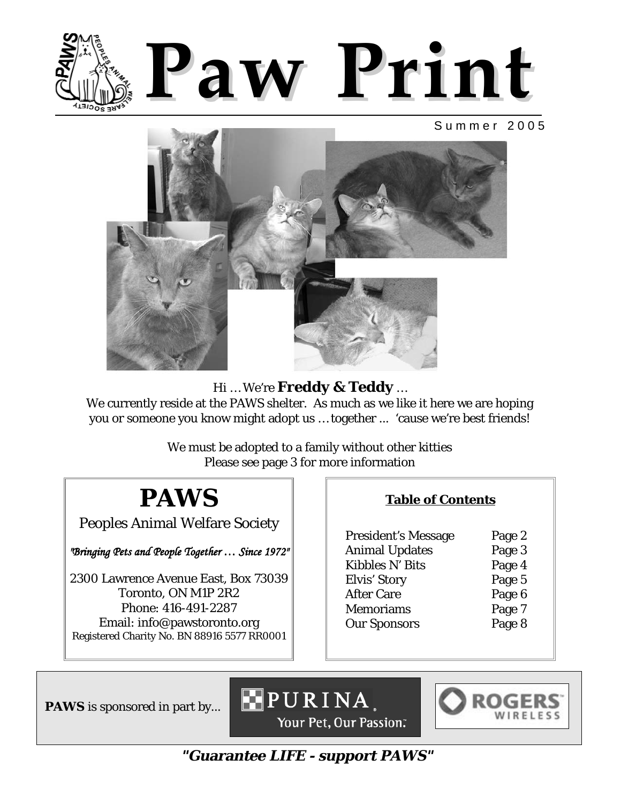

### Summer 2005



Hi … We're **Freddy & Teddy** …

We currently reside at the PAWS shelter. As much as we like it here we are hoping you or someone you know might adopt us … together ... 'cause we're best friends!

> We must be adopted to a family without other kitties Please see page 3 for more information

# **PAWS**

Peoples Animal Welfare Society

*"Bringing Pets and People Together ... Since 1972"* 

2300 Lawrence Avenue East, Box 73039 Toronto, ON M1P 2R2 Phone: 416-491-2287 Email: info@pawstoronto.org Registered Charity No. BN 88916 5577 RR0001

### **Table of Contents**

President's Message Page 2 Animal Updates Page 3 Kibbles N' Bits Page 4 Elvis' Story Page 5 After Care Page 6 Memoriams Page 7 Our Sponsors Page 8

**PAWS** is sponsored in part by...







**"Guarantee LIFE - support PAWS"**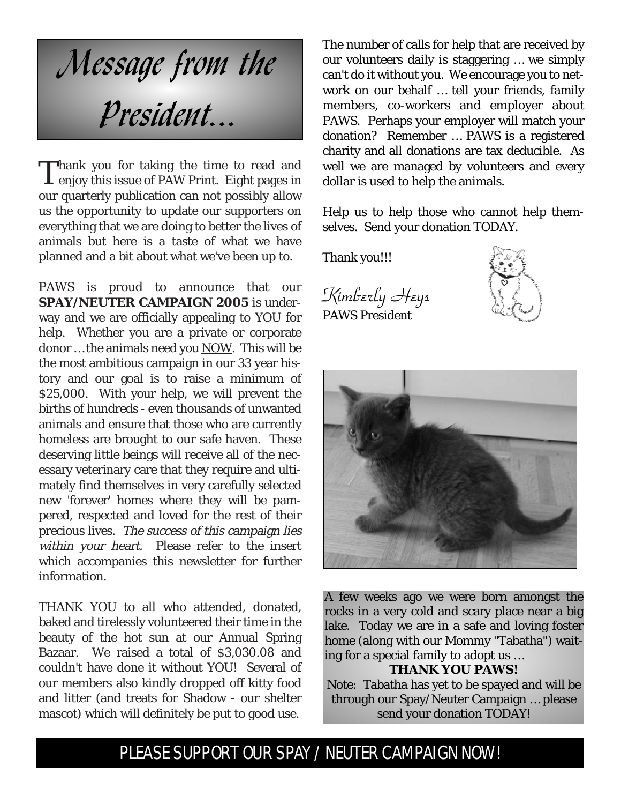

Thank you for taking the time to read and enjoy this issue of PAW Print. Eight pages in our quarterly publication can not possibly allow us the opportunity to update our supporters on everything that we are doing to better the lives of animals but here is a taste of what we have planned and a bit about what we've been up to.

PAWS is proud to announce that our **SPAY/NEUTER CAMPAIGN 2005** is underway and we are officially appealing to YOU for help. Whether you are a private or corporate donor … the animals need you NOW. This will be the most ambitious campaign in our 33 year history and our goal is to raise a minimum of \$25,000. With your help, we will prevent the births of hundreds - even thousands of unwanted animals and ensure that those who are currently homeless are brought to our safe haven. These deserving little beings will receive all of the necessary veterinary care that they require and ultimately find themselves in very carefully selected new 'forever' homes where they will be pampered, respected and loved for the rest of their precious lives. The success of this campaign lies within your heart. Please refer to the insert which accompanies this newsletter for further information.

THANK YOU to all who attended, donated, baked and tirelessly volunteered their time in the beauty of the hot sun at our Annual Spring Bazaar. We raised a total of \$3,030.08 and couldn't have done it without YOU! Several of our members also kindly dropped off kitty food and litter (and treats for Shadow - our shelter mascot) which will definitely be put to good use.

The number of calls for help that are received by our volunteers daily is staggering … we simply can't do it without you. We encourage you to network on our behalf … tell your friends, family members, co-workers and employer about PAWS. Perhaps your employer will match your donation? Remember … PAWS is a registered charity and all donations are tax deducible. As well we are managed by volunteers and every dollar is used to help the animals.

Help us to help those who cannot help themselves. Send your donation TODAY.

Thank you!!!

Kimberly Heys PAWS President





A few weeks ago we were born amongst the rocks in a very cold and scary place near a big lake. Today we are in a safe and loving foster home (along with our Mommy "Tabatha") waiting for a special family to adopt us …

### **THANK YOU PAWS!**

Note: Tabatha has yet to be spayed and will be through our Spay/Neuter Campaign … please send your donation TODAY!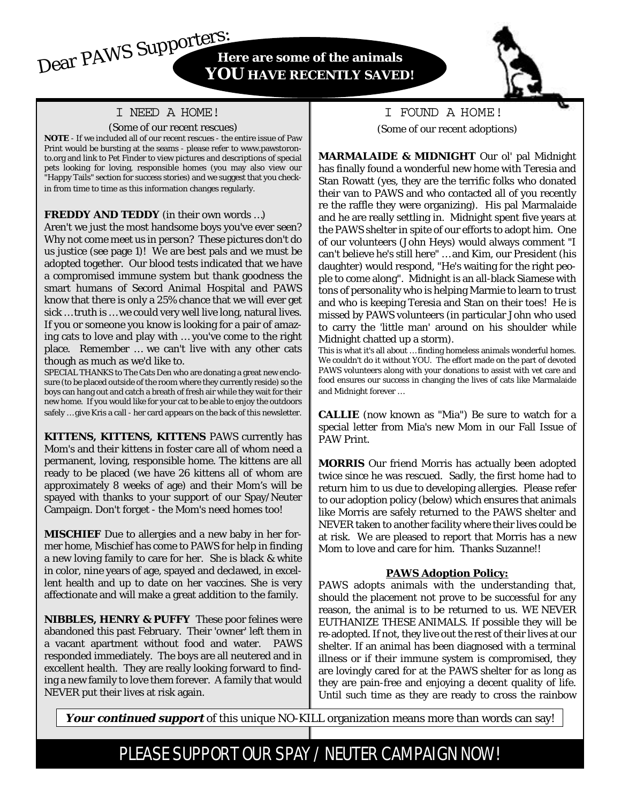### I NEED A HOME!

#### (Some of our recent rescues)

**NOTE** - If we included all of our recent rescues - the entire issue of Paw Print would be bursting at the seams - please refer to www.pawstoronto.org and link to Pet Finder to view pictures and descriptions of special pets looking for loving, responsible homes (you may also view our "Happy Tails" section for success stories) and we suggest that you checkin from time to time as this information changes regularly.

#### **FREDDY AND TEDDY** (in their own words …)

Aren't we just the most handsome boys you've ever seen? Why not come meet us in person? These pictures don't do us justice (see page 1)! We are best pals and we must be adopted together. Our blood tests indicated that we have a compromised immune system but thank goodness the smart humans of Secord Animal Hospital and PAWS know that there is only a 25% chance that we will ever get sick … truth is … we could very well live long, natural lives. If you or someone you know is looking for a pair of amazing cats to love and play with … you've come to the right place. Remember … we can't live with any other cats though as much as we'd like to.

SPECIAL THANKS to The Cats Den who are donating a great new enclosure (to be placed outside of the room where they currently reside) so the boys can hang out and catch a breath of fresh air while they wait for their new home. If you would like for your cat to be able to enjoy the outdoors safely … give Kris a call - her card appears on the back of this newsletter.

**KITTENS, KITTENS, KITTENS** PAWS currently has Mom's and their kittens in foster care all of whom need a permanent, loving, responsible home. The kittens are all ready to be placed (we have 26 kittens all of whom are approximately 8 weeks of age) and their Mom's will be spayed with thanks to your support of our Spay/Neuter Campaign. Don't forget - the Mom's need homes too!

**MISCHIEF** Due to allergies and a new baby in her former home, Mischief has come to PAWS for help in finding a new loving family to care for her. She is black & white in color, nine years of age, spayed and declawed, in excellent health and up to date on her vaccines. She is very affectionate and will make a great addition to the family.

**NIBBLES, HENRY & PUFFY** These poor felines were abandoned this past February. Their 'owner' left them in a vacant apartment without food and water. PAWS responded immediately. The boys are all neutered and in excellent health. They are really looking forward to finding a new family to love them forever. A family that would NEVER put their lives at risk again.

I FOUND A HOME! (Some of our recent adoptions)

**MARMALAIDE & MIDNIGHT** Our ol' pal Midnight has finally found a wonderful new home with Teresia and Stan Rowatt (yes, they are the terrific folks who donated their van to PAWS and who contacted all of you recently re the raffle they were organizing). His pal Marmalaide and he are really settling in. Midnight spent five years at the PAWS shelter in spite of our efforts to adopt him. One of our volunteers (John Heys) would always comment "I can't believe he's still here" … and Kim, our President (his daughter) would respond, "He's waiting for the right people to come along". Midnight is an all-black Siamese with tons of personality who is helping Marmie to learn to trust and who is keeping Teresia and Stan on their toes! He is missed by PAWS volunteers (in particular John who used to carry the 'little man' around on his shoulder while Midnight chatted up a storm).

This is what it's all about … finding homeless animals wonderful homes. We couldn't do it without YOU. The effort made on the part of devoted PAWS volunteers along with your donations to assist with vet care and food ensures our success in changing the lives of cats like Marmalaide and Midnight forever …

**CALLIE** (now known as "Mia") Be sure to watch for a special letter from Mia's new Mom in our Fall Issue of PAW Print.

**MORRIS** Our friend Morris has actually been adopted twice since he was rescued. Sadly, the first home had to return him to us due to developing allergies. Please refer to our adoption policy (below) which ensures that animals like Morris are safely returned to the PAWS shelter and NEVER taken to another facility where their lives could be at risk. We are pleased to report that Morris has a new Mom to love and care for him. Thanks Suzanne!!

#### **PAWS Adoption Policy:**

PAWS adopts animals with the understanding that, should the placement not prove to be successful for any reason, the animal is to be returned to us. WE NEVER EUTHANIZE THESE ANIMALS. If possible they will be re-adopted. If not, they live out the rest of their lives at our shelter. If an animal has been diagnosed with a terminal illness or if their immune system is compromised, they are lovingly cared for at the PAWS shelter for as long as they are pain-free and enjoying a decent quality of life. Until such time as they are ready to cross the rainbow

Your continued support of this unique NO-KILL organization means more than words can say!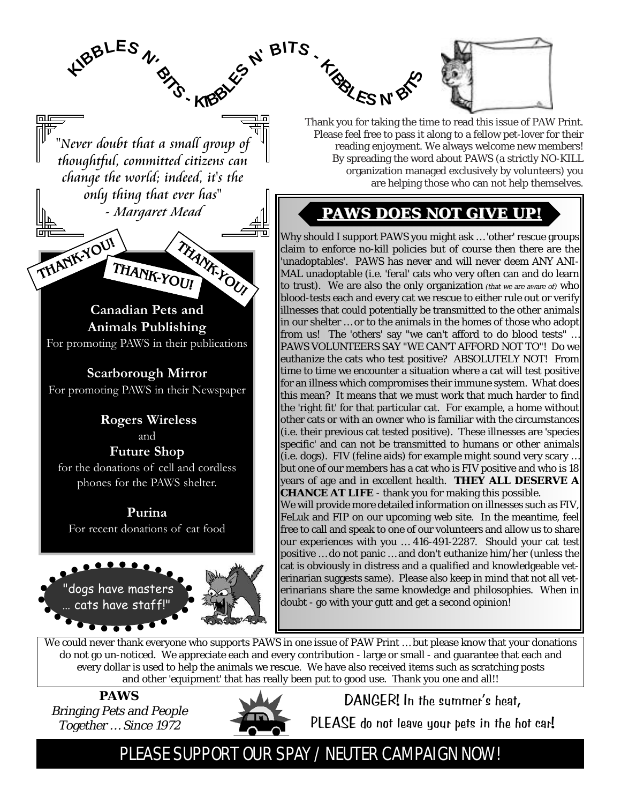

Thank you for taking the time to read this issue of PAW Print. Please feel free to pass it along to a fellow pet-lover for their reading enjoyment. We always welcome new members! By spreading the word about PAWS (a strictly NO-KILL organization managed exclusively by volunteers) you are helping those who can not help themselves.

## **PAWS DOES NOT GIVE UP! PAWS DOES NOT GIVE UP!** - Margaret Mead **PAWS DOES NOT GIVE UP! PAWS DOES NOT GIVE UP!**

Why should I support PAWS you might ask … 'other' rescue groups claim to enforce no-kill policies but of course then there are the 'unadoptables'. PAWS has never and will never deem ANY ANI-MAL unadoptable (i.e. 'feral' cats who very often can and do learn to trust). We are also the only organization (that we are aware of) who blood-tests each and every cat we rescue to either rule out or verify illnesses that could potentially be transmitted to the other animals in our shelter … or to the animals in the homes of those who adopt from us! The 'others' say "we can't afford to do blood tests" … PAWS VOLUNTEERS SAY "WE CAN'T AFFORD NOT TO"! Do we euthanize the cats who test positive? ABSOLUTELY NOT! From time to time we encounter a situation where a cat will test positive for an illness which compromises their immune system. What does this mean? It means that we must work that much harder to find the 'right fit' for that particular cat. For example, a home without other cats or with an owner who is familiar with the circumstances (i.e. their previous cat tested positive). These illnesses are 'species specific' and can not be transmitted to humans or other animals (i.e. dogs). FIV (feline aids) for example might sound very scary … years of age and in excellent health. **THEY ALL DESERVE A CHANCE AT LIFE** - thank you for making this possible. We will provide more detailed information on illnesses such as FIV, erinarians share the same knowledge and philosophies. When in doubt - go with your gutt and get a second opinion!

but one of our members has a cat who is FIV positive and who is 18 FeLuk and FIP on our upcoming web site. In the meantime, feel

free to call and speak to one of our volunteers and allow us to share our experiences with you … 416-491-2287. Should your cat test positive … do not panic … and don't euthanize him/her (unless the cat is obviously in distress and a qualified and knowledgeable veterinarian suggests same). Please also keep in mind that not all vet-

We could never thank everyone who supports PAWS in one issue of PAW Print ... but please know that your donations do not go un-noticed. We appreciate each and every contribution - large or small - and guarantee that each and every dollar is used to help the animals we rescue. We have also received items such as scratching posts and other 'equipment' that has really been put to good use. Thank you one and all!!

**PAWS** Bringing Pets and People Together … Since 1972



DANGER! In the summer's heat,

PLEASE do not leave your pets in the hot car!

# PLEASE SUPPORT OUR SPAY / NEUTER CAMPAIGN NOW!

"Never doubt that a small group of thoughtful, committed citizens can change the world; indeed, it's the only thing that ever has"

**BITS -**

**<sup>K</sup><sup>I</sup>BBLE<sup>S</sup> <sup>N</sup>'**

**THANK-YOU!**

**Canadian Pets and Animals Publishing**  For promoting PAWS in their publications

**THANK-YOU!**

**THANK-YOU!**

**Scarborough Mirror** For promoting PAWS in their Newspaper

**Rogers Wireless** and **Future Shop**  for the donations of cell and cordless phones for the PAWS shelter.

**Purina**  For recent donations of cat food

dogs have master cats have stat

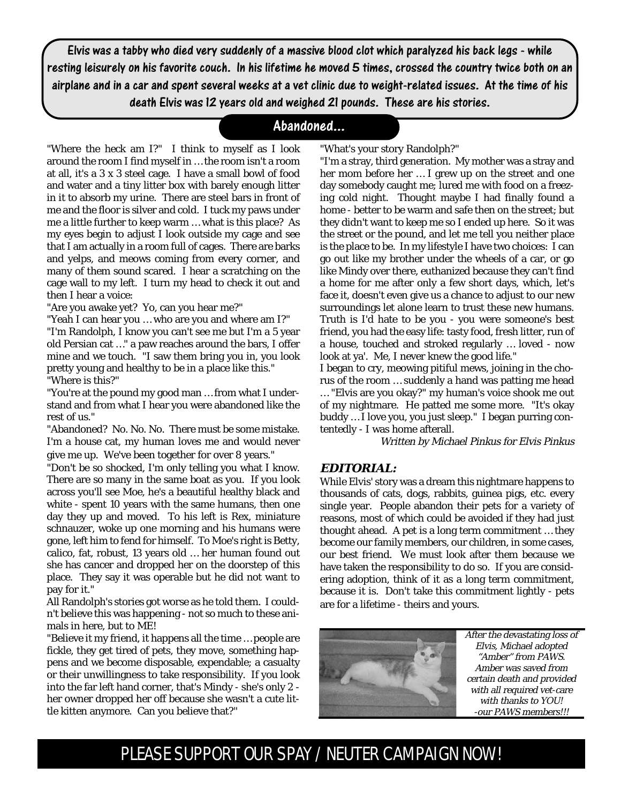Elvis was a tabby who died very suddenly of a massive blood clot which paralyzed his back legs - while resting leisurely on his favorite couch. In his lifetime he moved 5 times, crossed the country twice both on an airplane and in a car and spent several weeks at a vet clinic due to weight-related issues. At the time of his death Elvis was 12 years old and weighed 21 pounds. These are his stories.

### Abandoned...

"Where the heck am I?" I think to myself as I look around the room I find myself in … the room isn't a room at all, it's a 3 x 3 steel cage. I have a small bowl of food and water and a tiny litter box with barely enough litter in it to absorb my urine. There are steel bars in front of me and the floor is silver and cold. I tuck my paws under me a little further to keep warm … what is this place? As my eyes begin to adjust I look outside my cage and see that I am actually in a room full of cages. There are barks and yelps, and meows coming from every corner, and many of them sound scared. I hear a scratching on the cage wall to my left. I turn my head to check it out and then I hear a voice:

"Are you awake yet? Yo, can you hear me?"

"Yeah I can hear you … who are you and where am I?" "I'm Randolph, I know you can't see me but I'm a 5 year old Persian cat …" a paw reaches around the bars, I offer mine and we touch. "I saw them bring you in, you look pretty young and healthy to be in a place like this." "Where is this?"

"You're at the pound my good man … from what I understand and from what I hear you were abandoned like the rest of us."

"Abandoned? No. No. No. There must be some mistake. I'm a house cat, my human loves me and would never give me up. We've been together for over 8 years."

"Don't be so shocked, I'm only telling you what I know. There are so many in the same boat as you. If you look across you'll see Moe, he's a beautiful healthy black and white - spent 10 years with the same humans, then one day they up and moved. To his left is Rex, miniature schnauzer, woke up one morning and his humans were gone, left him to fend for himself. To Moe's right is Betty, calico, fat, robust, 13 years old … her human found out she has cancer and dropped her on the doorstep of this place. They say it was operable but he did not want to pay for it."

All Randolph's stories got worse as he told them. I couldn't believe this was happening - not so much to these animals in here, but to ME!

"Believe it my friend, it happens all the time … people are fickle, they get tired of pets, they move, something happens and we become disposable, expendable; a casualty or their unwillingness to take responsibility. If you look into the far left hand corner, that's Mindy - she's only 2 her owner dropped her off because she wasn't a cute little kitten anymore. Can you believe that?"

"What's your story Randolph?"

"I'm a stray, third generation. My mother was a stray and her mom before her … I grew up on the street and one day somebody caught me; lured me with food on a freezing cold night. Thought maybe I had finally found a home - better to be warm and safe then on the street; but they didn't want to keep me so I ended up here. So it was the street or the pound, and let me tell you neither place is the place to be. In my lifestyle I have two choices: I can go out like my brother under the wheels of a car, or go like Mindy over there, euthanized because they can't find a home for me after only a few short days, which, let's face it, doesn't even give us a chance to adjust to our new surroundings let alone learn to trust these new humans. Truth is I'd hate to be you - you were someone's best friend, you had the easy life: tasty food, fresh litter, run of a house, touched and stroked regularly … loved - now look at ya'. Me, I never knew the good life."

I began to cry, meowing pitiful mews, joining in the chorus of the room … suddenly a hand was patting me head … "Elvis are you okay?" my human's voice shook me out of my nightmare. He patted me some more. "It's okay buddy … I love you, you just sleep." I began purring contentedly - I was home afterall.

Written by Michael Pinkus for Elvis Pinkus

#### **EDITORIAL:**

While Elvis' story was a dream this nightmare happens to thousands of cats, dogs, rabbits, guinea pigs, etc. every single year. People abandon their pets for a variety of reasons, most of which could be avoided if they had just thought ahead. A pet is a long term commitment … they become our family members, our children, in some cases, our best friend. We must look after them because we have taken the responsibility to do so. If you are considering adoption, think of it as a long term commitment, because it is. Don't take this commitment lightly - pets are for a lifetime - theirs and yours.



After the devastating loss of Elvis, Michael adopted "Amber" from PAWS. Amber was saved from certain death and provided with all required vet-care with thanks to YOU! -our PAWS members!!!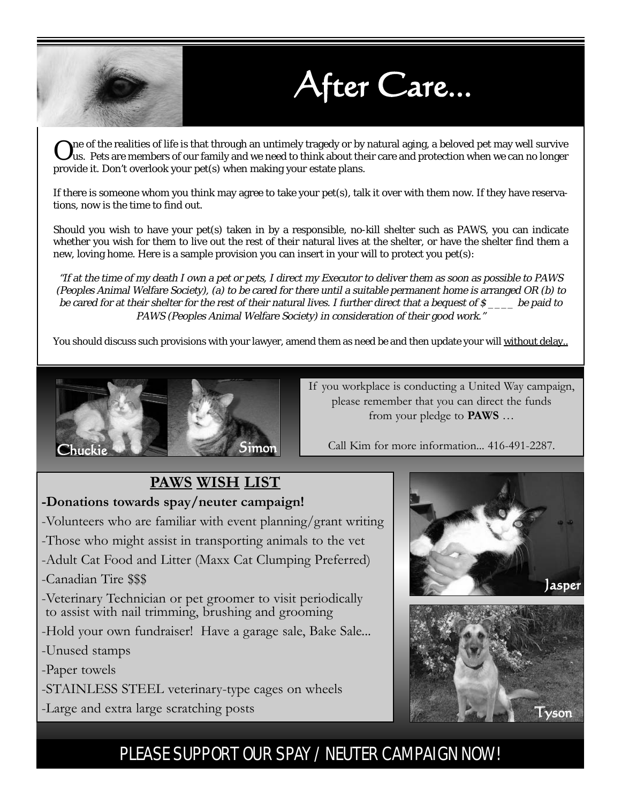

After Care...

 $\bf{O}$ ne of the realities of life is that through an untimely tragedy or by natural aging, a beloved pet may well survive<br>Uus. Pets are members of our family and we need to think about their care and protection when we c provide it. Don't overlook your pet(s) when making your estate plans.

If there is someone whom you think may agree to take your pet(s), talk it over with them now. If they have reservations, now is the time to find out.

Should you wish to have your pet(s) taken in by a responsible, no-kill shelter such as PAWS, you can indicate whether you wish for them to live out the rest of their natural lives at the shelter, or have the shelter find them a new, loving home. Here is a sample provision you can insert in your will to protect you pet(s):

"If at the time of my death I own a pet or pets, I direct my Executor to deliver them as soon as possible to PAWS (Peoples Animal Welfare Society), (a) to be cared for there until a suitable permanent home is arranged OR (b) to be cared for at their shelter for the rest of their natural lives. I further direct that a bequest of  $\mathcal S$  be paid to PAWS (Peoples Animal Welfare Society) in consideration of their good work."

You should discuss such provisions with your lawyer, amend them as need be and then update your will without delay..



If you workplace is conducting a United Way campaign, please remember that you can direct the funds from your pledge to **PAWS** ...

Call Kim for more information... 416-491-2287.

# **PAWS WISH LIST**

### **-Donations towards spay/neuter campaign!**

-Volunteers who are familiar with event planning/grant writing

-Those who might assist in transporting animals to the vet

-Adult Cat Food and Litter (Maxx Cat Clumping Preferred)

### -Canadian Tire \$\$\$

-Veterinary Technician or pet groomer to visit periodically to assist with nail trimming, brushing and grooming

-Hold your own fundraiser! Have a garage sale, Bake Sale...

-Unused stamps

-Paper towels

-STAINLESS STEEL veterinary-type cages on wheels

-Large and extra large scratching posts



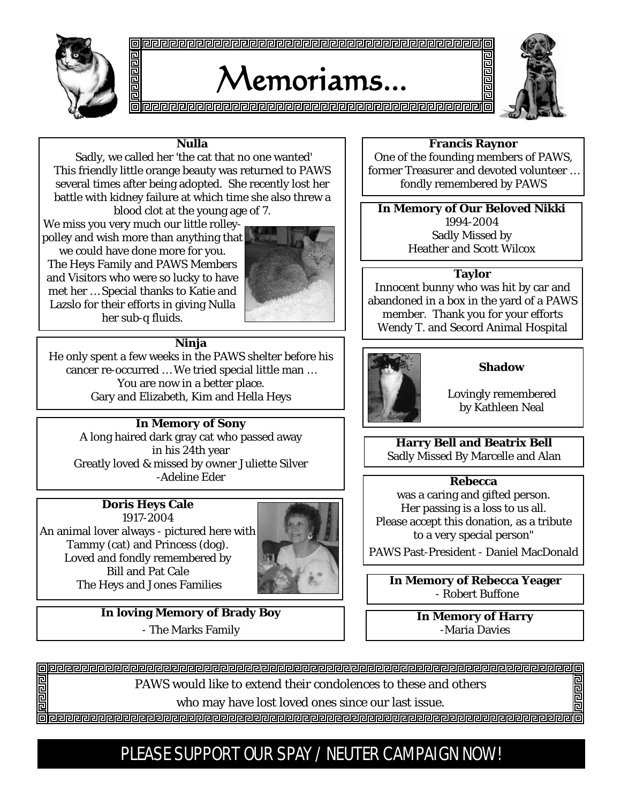

# Memoriams...



#### **Nulla**

Sadly, we called her 'the cat that no one wanted' This friendly little orange beauty was returned to PAWS several times after being adopted. She recently lost her battle with kidney failure at which time she also threw a blood clot at the young age of 7.

We miss you very much our little rolleypolley and wish more than anything that

we could have done more for you. The Heys Family and PAWS Members and Visitors who were so lucky to have met her … Special thanks to Katie and Lazslo for their efforts in giving Nulla her sub-q fluids.



### **Ninja**

He only spent a few weeks in the PAWS shelter before his cancer re-occurred … We tried special little man … You are now in a better place. Gary and Elizabeth, Kim and Hella Heys

### **In Memory of Sony**

A long haired dark gray cat who passed away in his 24th year Greatly loved & missed by owner Juliette Silver -Adeline Eder

### **Doris Heys Cale**

1917-2004 An animal lover always - pictured here with Tammy (cat) and Princess (dog). Loved and fondly remembered by Bill and Pat Cale The Heys and Jones Families **In Memory of Rebecca Yeager** 



**In loving Memory of Brady Boy**  - The Marks Family

#### **Francis Raynor**

昌邑

One of the founding members of PAWS, former Treasurer and devoted volunteer … fondly remembered by PAWS

**In Memory of Our Beloved Nikki** 1994-2004 Sadly Missed by Heather and Scott Wilcox

#### **Taylor**

Innocent bunny who was hit by car and abandoned in a box in the yard of a PAWS member. Thank you for your efforts Wendy T. and Secord Animal Hospital



#### **Shadow**

Lovingly remembered by Kathleen Neal

**Harry Bell and Beatrix Bell**  Sadly Missed By Marcelle and Alan

#### **Rebecca**

was a caring and gifted person. Her passing is a loss to us all. Please accept this donation, as a tribute to a very special person"

PAWS Past-President - Daniel MacDonald

- Robert Buffone

**In Memory of Harry**  -Maria Davies

司

raaa 西西西

PAWS would like to extend their condolences to these and others

who may have lost loved ones since our last issue.